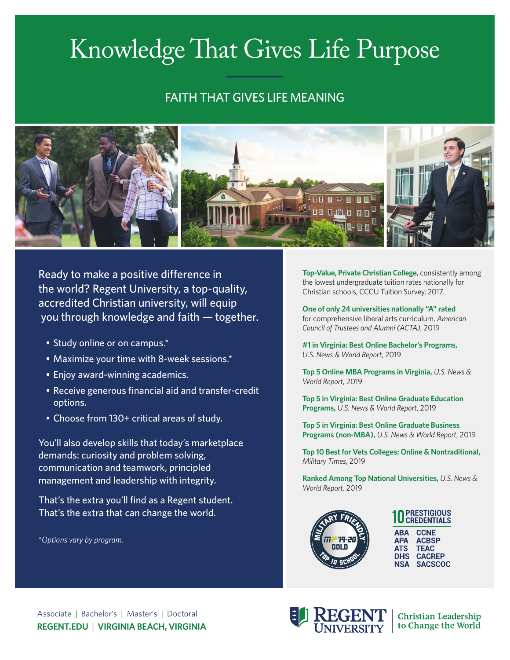# Knowledge That Gives Life Purpose

## FAITH THAT GIVES LIFE MEANING



Ready to make a positive difference in the world? Regent University, a top-quality, accredited Christian university, will equip you through knowledge and faith — together.

- Study online or on campus.\*
- Maximize your time with 8-week sessions.\*
- Enjoy award-winning academics.
- Receive generous financial aid and transfer-credit options.
- Choose from 130+ critical areas of study.

You'll also develop skills that today's marketplace demands: curiosity and problem solving, communication and teamwork, principled management and leadership with integrity.

That's the extra you'll find as a Regent student. That's the extra that can change the world.

\**Options vary by program.*

**Top-Value, Private Christian College,** consistently among the lowest undergraduate tuition rates nationally for Christian schools, CCCU Tuition Survey, 2017.

**One of only 24 universities nationally "A" rated**  for comprehensive liberal arts curriculum, *American Council of Trustees and Alumni (ACTA)*, 2019

**#1 in Virginia: Best Online Bachelor's Programs,** *U.S. News & World Report*, 2019

**Top 5 Online MBA Programs in Virginia,** *U.S. News & World Report*, 2019

**Top 5 in Virginia: Best Online Graduate Education Programs,** *U.S. News & World Report*, 2019

**Top 5 in Virginia: Best Online Graduate Business Programs (non-MBA),** *U.S. News & World Report*, 2019

**Top 10 Best for Vets Colleges: Online & Nontraditional,**  *Military Times*, 2019

**Ranked Among Top National Universities,** *U.S. News & World Report,* 2019



**PRESTIGIOUS<br>CREDENTIALS ABA CCNE ACBSP APA ATS TFAC DHS CACREP SACSCOC NSA** 



**Christian Leadership** to Change the World